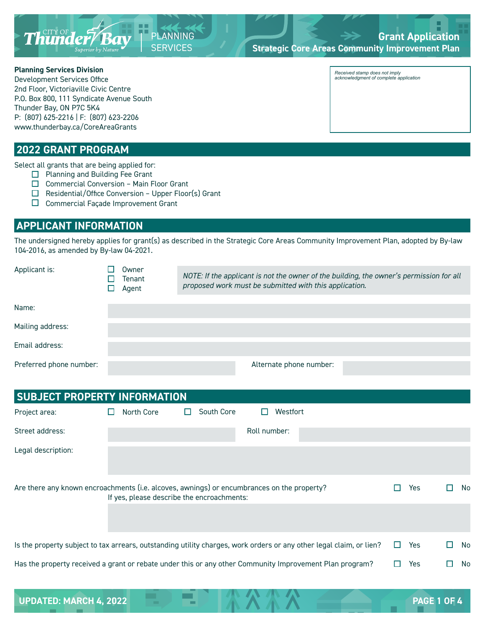

## **Grant Application Strategic Core Areas Community Improvement Plan**

#### **Planning Services Division**

Development Services Office 2nd Floor, Victoriaville Civic Centre P.O. Box 800, 111 Syndicate Avenue South Thunder Bay, ON P7C 5K4 P: (807) 625-2216 | F: (807) 623-2206 www.thunderbay.ca/CoreAreaGrants

### **2022 GRANT PROGRAM**

Select all grants that are being applied for:

- □ Planning and Building Fee Grant
- $\Box$  Commercial Conversion Main Floor Grant
- $\Box$  Residential/Office Conversion Upper Floor(s) Grant

PLANNING **SERVICES** 

 $\square$  Commercial Façade Improvement Grant

# **APPLICANT INFORMATION**

The undersigned hereby applies for grant(s) as described in the Strategic Core Areas Community Improvement Plan, adopted by By-law 104-2016, as amended by By-law 04-2021.

| Applicant is:           | Owner<br>Tenant<br>Agent | proposed work must be submitted with this application. | NOTE: If the applicant is not the owner of the building, the owner's permission for all |
|-------------------------|--------------------------|--------------------------------------------------------|-----------------------------------------------------------------------------------------|
|                         |                          |                                                        |                                                                                         |
| Name:                   |                          |                                                        |                                                                                         |
| Mailing address:        |                          |                                                        |                                                                                         |
| Email address:          |                          |                                                        |                                                                                         |
| Preferred phone number: |                          | Alternate phone number:                                |                                                                                         |

| <b>SUBJECT PROPERTY INFORMATION</b> |                                                                                                                                               |            |     |  |  |  |
|-------------------------------------|-----------------------------------------------------------------------------------------------------------------------------------------------|------------|-----|--|--|--|
| Project area:                       | South Core<br>Westfort<br>North Core<br>ப<br>H<br>ш                                                                                           |            |     |  |  |  |
| Street address:                     | Roll number:                                                                                                                                  |            |     |  |  |  |
| Legal description:                  |                                                                                                                                               |            |     |  |  |  |
|                                     | Are there any known encroachments (i.e. alcoves, awnings) or encumbrances on the property?<br>H<br>If yes, please describe the encroachments: | Yes.       | No. |  |  |  |
|                                     | Is the property subject to tax arrears, outstanding utility charges, work orders or any other legal claim, or lien?<br>$\mathbf{L}$           | <b>Yes</b> | No  |  |  |  |
|                                     | Has the property received a grant or rebate under this or any other Community Improvement Plan program?                                       | Yes        | No  |  |  |  |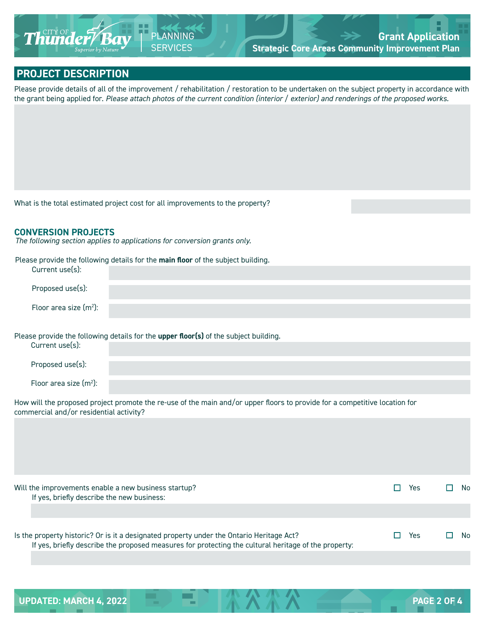

## **PROJECT DESCRIPTION**

Please provide details of all of the improvement / rehabilitation / restoration to be undertaken on the subject property in accordance with the grant being applied for. *Please attach photos of the current condition (interior / exterior) and renderings of the proposed works.*

What is the total estimated project cost for all improvements to the property?

#### **CONVERSION PROJECTS**

*The following section applies to applications for conversion grants only.* 

| Please provide the following details for the main floor of the subject building. |  |
|----------------------------------------------------------------------------------|--|
| Current use(s):                                                                  |  |

| Proposed use(s):         |  |
|--------------------------|--|
| Floor area size $(m2)$ : |  |

Please provide the following details for the **upper floor(s)** of the subject building.

| Current use(s):           |  |
|---------------------------|--|
|                           |  |
| Proposed use(s):          |  |
|                           |  |
|                           |  |
| Floor area size $(m^2)$ : |  |
|                           |  |
|                           |  |

How will the proposed project promote the re-use of the main and/or upper floors to provide for a competitive location for commercial and/or residential activity?

Will the improvements enable a new business startup?<br>  $\Box$  Yes  $\Box$  No If yes, briefly describe the new business:

| Is the property historic? Or is it a designated property under the Ontario Heritage Act?             | $\square$ Yes | $\Box$ No |  |
|------------------------------------------------------------------------------------------------------|---------------|-----------|--|
| If yes, briefly describe the proposed measures for protecting the cultural heritage of the property: |               |           |  |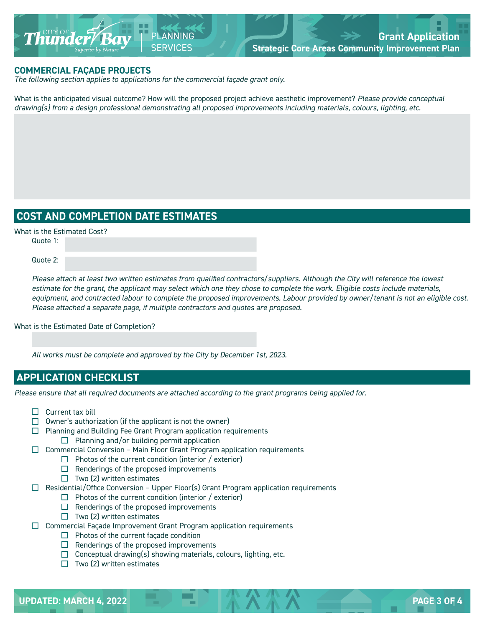

#### **COMMERCIAL FAÇADE PROJECTS**

*The following section applies to applications for the commercial façade grant only.* 

What is the anticipated visual outcome? How will the proposed project achieve aesthetic improvement? *Please provide conceptual drawing(s) from a design professional demonstrating all proposed improvements including materials, colours, lighting, etc.*

## **COST AND COMPLETION DATE ESTIMATES**

What is the Estimated Cost?

Quote 1:

Quote 2:

*Please attach at least two written estimates from qualified contractors/suppliers. Although the City will reference the lowest estimate for the grant, the applicant may select which one they chose to complete the work. Eligible costs include materials, equipment, and contracted labour to complete the proposed improvements. Labour provided by owner/tenant is not an eligible cost. Please attached a separate page, if multiple contractors and quotes are proposed.*

#### What is the Estimated Date of Completion?

*All works must be complete and approved by the City by December 1st, 2023.*

## **APPLICATION CHECKLIST**

*Please ensure that all required documents are attached according to the grant programs being applied for.*

- $\Box$  Current tax bill
- $\Box$  Owner's authorization (if the applicant is not the owner)
- $\Box$  Planning and Building Fee Grant Program application requirements  $\Box$  Planning and/or building permit application
- $\Box$  Commercial Conversion Main Floor Grant Program application requirements
	- $\Box$  Photos of the current condition (interior / exterior)
	- $\Box$  Renderings of the proposed improvements
	- $\Box$  Two (2) written estimates
- $\Box$  Residential/Office Conversion Upper Floor(s) Grant Program application requirements
	- $\Box$  Photos of the current condition (interior / exterior)
	- $\Box$  Renderings of the proposed improvements
	- $\Box$  Two (2) written estimates
- $\Box$  Commercial Façade Improvement Grant Program application requirements
	- $\Box$  Photos of the current façade condition
	- $\Box$  Renderings of the proposed improvements
	- $\Box$  Conceptual drawing(s) showing materials, colours, lighting, etc.
	- $\Box$  Two (2) written estimates